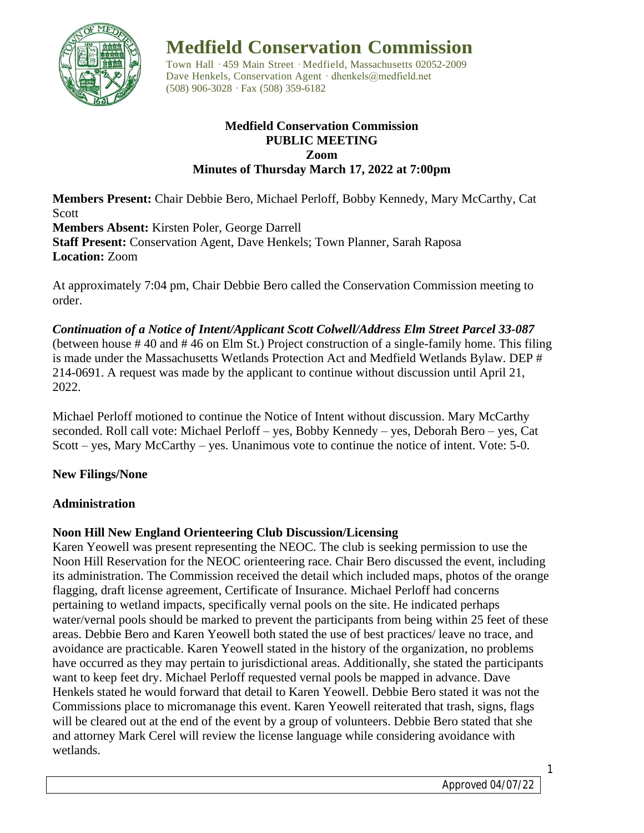

**Medfield Conservation Commission**

Town Hall · 459 Main Street · Medfield, Massachusetts 02052-2009 Dave Henkels, Conservation Agent · dhenkels@medfield.net (508) 906-3028 ·Fax (508) 359-6182

### **Medfield Conservation Commission PUBLIC MEETING Zoom Minutes of Thursday March 17, 2022 at 7:00pm**

**Members Present:** Chair Debbie Bero, Michael Perloff, Bobby Kennedy, Mary McCarthy, Cat Scott **Members Absent:** Kirsten Poler, George Darrell **Staff Present:** Conservation Agent, Dave Henkels; Town Planner, Sarah Raposa **Location:** Zoom

At approximately 7:04 pm, Chair Debbie Bero called the Conservation Commission meeting to order.

*Continuation of a Notice of Intent/Applicant Scott Colwell/Address Elm Street Parcel 33-087*  (between house # 40 and # 46 on Elm St.) Project construction of a single-family home. This filing is made under the Massachusetts Wetlands Protection Act and Medfield Wetlands Bylaw. DEP # 214-0691. A request was made by the applicant to continue without discussion until April 21, 2022.

Michael Perloff motioned to continue the Notice of Intent without discussion. Mary McCarthy seconded. Roll call vote: Michael Perloff – yes, Bobby Kennedy – yes, Deborah Bero – yes, Cat Scott – yes, Mary McCarthy – yes. Unanimous vote to continue the notice of intent. Vote: 5-0.

# **New Filings/None**

# **Administration**

# **Noon Hill New England Orienteering Club Discussion/Licensing**

Karen Yeowell was present representing the NEOC. The club is seeking permission to use the Noon Hill Reservation for the NEOC orienteering race. Chair Bero discussed the event, including its administration. The Commission received the detail which included maps, photos of the orange flagging, draft license agreement, Certificate of Insurance. Michael Perloff had concerns pertaining to wetland impacts, specifically vernal pools on the site. He indicated perhaps water/vernal pools should be marked to prevent the participants from being within 25 feet of these areas. Debbie Bero and Karen Yeowell both stated the use of best practices/ leave no trace, and avoidance are practicable. Karen Yeowell stated in the history of the organization, no problems have occurred as they may pertain to jurisdictional areas. Additionally, she stated the participants want to keep feet dry. Michael Perloff requested vernal pools be mapped in advance. Dave Henkels stated he would forward that detail to Karen Yeowell. Debbie Bero stated it was not the Commissions place to micromanage this event. Karen Yeowell reiterated that trash, signs, flags will be cleared out at the end of the event by a group of volunteers. Debbie Bero stated that she and attorney Mark Cerel will review the license language while considering avoidance with wetlands.

1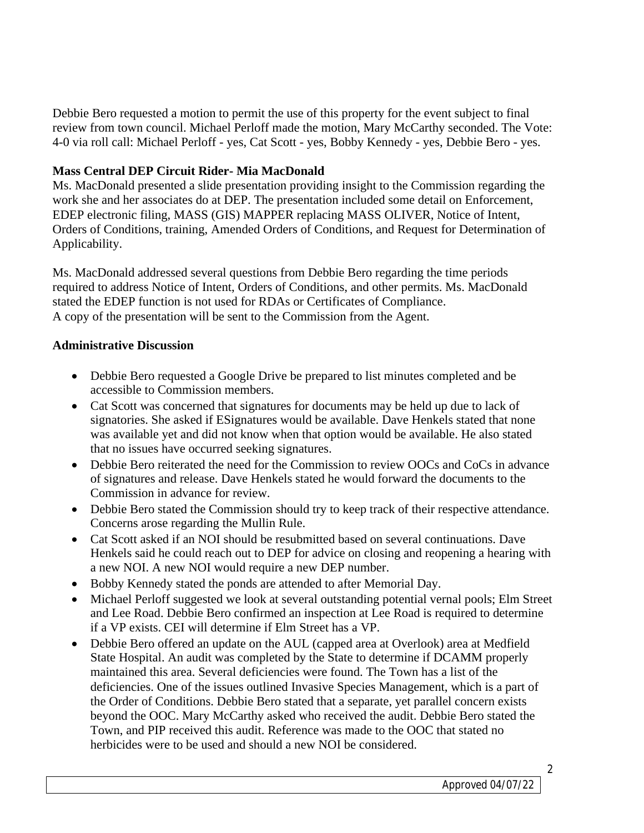Debbie Bero requested a motion to permit the use of this property for the event subject to final review from town council. Michael Perloff made the motion, Mary McCarthy seconded. The Vote: 4-0 via roll call: Michael Perloff - yes, Cat Scott - yes, Bobby Kennedy - yes, Debbie Bero - yes.

# **Mass Central DEP Circuit Rider- Mia MacDonald**

Ms. MacDonald presented a slide presentation providing insight to the Commission regarding the work she and her associates do at DEP. The presentation included some detail on Enforcement, EDEP electronic filing, MASS (GIS) MAPPER replacing MASS OLIVER, Notice of Intent, Orders of Conditions, training, Amended Orders of Conditions, and Request for Determination of Applicability.

Ms. MacDonald addressed several questions from Debbie Bero regarding the time periods required to address Notice of Intent, Orders of Conditions, and other permits. Ms. MacDonald stated the EDEP function is not used for RDAs or Certificates of Compliance. A copy of the presentation will be sent to the Commission from the Agent.

# **Administrative Discussion**

- Debbie Bero requested a Google Drive be prepared to list minutes completed and be accessible to Commission members.
- Cat Scott was concerned that signatures for documents may be held up due to lack of signatories. She asked if ESignatures would be available. Dave Henkels stated that none was available yet and did not know when that option would be available. He also stated that no issues have occurred seeking signatures.
- Debbie Bero reiterated the need for the Commission to review OOCs and CoCs in advance of signatures and release. Dave Henkels stated he would forward the documents to the Commission in advance for review.
- Debbie Bero stated the Commission should try to keep track of their respective attendance. Concerns arose regarding the Mullin Rule.
- Cat Scott asked if an NOI should be resubmitted based on several continuations. Dave Henkels said he could reach out to DEP for advice on closing and reopening a hearing with a new NOI. A new NOI would require a new DEP number.
- Bobby Kennedy stated the ponds are attended to after Memorial Day.
- Michael Perloff suggested we look at several outstanding potential vernal pools; Elm Street and Lee Road. Debbie Bero confirmed an inspection at Lee Road is required to determine if a VP exists. CEI will determine if Elm Street has a VP.
- Debbie Bero offered an update on the AUL (capped area at Overlook) area at Medfield State Hospital. An audit was completed by the State to determine if DCAMM properly maintained this area. Several deficiencies were found. The Town has a list of the deficiencies. One of the issues outlined Invasive Species Management, which is a part of the Order of Conditions. Debbie Bero stated that a separate, yet parallel concern exists beyond the OOC. Mary McCarthy asked who received the audit. Debbie Bero stated the Town, and PIP received this audit. Reference was made to the OOC that stated no herbicides were to be used and should a new NOI be considered.

2